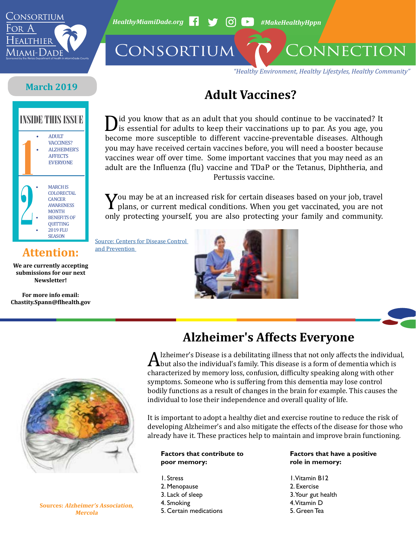

*HealthyMiamiDade.org* <sup>1</sup> → 60 → #MakeHealthyHppn

CONSORTIUM CONNECTION

*"Healthy Environment, Healthy Lifestyles, Healthy Community"*

### **March 2019**

#### • ADULT VACCINES? • ALZHEIMER'S **AFFECTS** EVERYONE • MARCH IS **COLORECTAL CANCER** AWARENESS MONTH **BENEFITS OF QUITTING** • 2019 FLU **SEASON**

**Attention:** 

**We are currently accepting submissions for our next Newsletter!**

**For more info email: Chastity.Spann@flhealth.gov**

**INSIDE THIS ISSUE DIDENTIFY DIDENSITY ISSUE DIDENSITY** id you know that as an adult that you should continue to be vaccinated? It is essential for adults to keep their vaccinations up to par. As you age, you become more susceptible to different vaccine-preventable diseases. Although you may have received certain vaccines before, you will need a booster because vaccines wear off over time. Some important vaccines that you may need as an adult are the Influenza (flu) vaccine and TDaP or the Tetanus, Diphtheria, and Pertussis vaccine.

**Adult Vaccines?**

You may be at an increased risk for certain diseases based on your job, travel<br>plans, or current medical conditions. When you get vaccinated, you are not<br>only protecting yourself, you are also protecting your family and co plans, or current medical conditions. When you get vaccinated, you are not only protecting yourself, you are also protecting your family and community.

[Source: Centers for Disease Control](https://www.cdc.gov/vaccines/adults/index.html)  [and Prevention](https://www.cdc.gov/vaccines/adults/index.html) 





#### **Sources: Alzheimer's Association, Mercola**

### **Alzheimer's Affects Everyone**

A Izheimer's Disease is a debilitating illness that not only affects the individual,<br>Abut also the individual's family. This disease is a form of dementia which is<br>characterized by memory loss, confusion, difficulty speaki but also the individual's family. This disease is a form of dementia which is characterized by memory loss, confusion, difficulty speaking along with other symptoms. Someone who is suffering from this dementia may lose control bodily functions as a result of changes in the brain for example. This causes the individual to lose their independence and overall quality of life.

It is important to adopt a healthy diet and exercise routine to reduce the risk of developing Alzheimer's and also mitigate the effects of the disease for those who already have it. These practices help to maintain and improve brain functioning.

#### **Factors that contribute to poor memory:**

- 1. Stress
- 2. Menopause
- 3. Lack of sleep
- 4. Smoking
- 
- 5. Certain medications

#### **Factors that have a positive role in memory:**

1. Vitamin B12 2. Exercise 3. Your gut health 4. Vitamin D 5. Green Tea